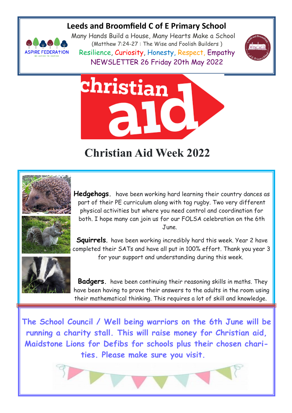## **Leeds and Broomfield C of E Primary School**



Many Hands Build a House, Many Hearts Make a School (Matthew 7:24-27 : The Wise and Foolish Builders ) Resilience, Curiosity, Honesty, Respect, Empathy NEWSLETTER 26 Friday 20th May 2022





## **Christian Aid Week 2022**



**Hedgehogs.** have been working hard learning their country dances as part of their PE curriculum along with tag rugby. Two very different physical activities but where you need control and coordination for both. I hope many can join us for our FOLSA celebration on the 6th June.

**Squirrels**. have been working incredibly hard this week. Year 2 have completed their SATs and have all put in 100% effort. Thank you year 3 for your support and understanding during this week.



 **Badgers.** have been continuing their reasoning skills in maths. They have been having to prove their answers to the adults in the room using their mathematical thinking. This requires a lot of skill and knowledge.

**The School Council / Well being warriors on the 6th June will be running a charity stall. This will raise money for Christian aid, Maidstone Lions for Defibs for schools plus their chosen charities. Please make sure you visit.** 

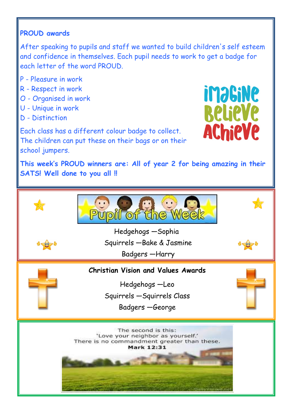## **PROUD awards**

After speaking to pupils and staff we wanted to build children's self esteem and confidence in themselves. Each pupil needs to work to get a badge for each letter of the word PROUD.

- P Pleasure in work
- R Respect in work
- O Organised in work
- U Unique in work
- D Distinction

**imaGiNe Relieve AChieVe** 

Each class has a different colour badge to collect. The children can put these on their bags or on their school jumpers.

**This week's PROUD winners are: All of year 2 for being amazing in their SATS! Well done to you all !!** 

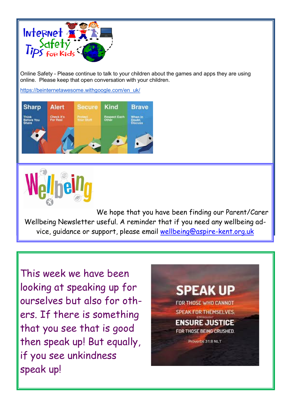

Online Safety - Please continue to talk to your children about the games and apps they are using online. Please keep that open conversation with your children.

[https://beinternetawesome.withgoogle.com/en\\_uk/](https://beinternetawesome.withgoogle.com/en_uk/)





We hope that you have been finding our Parent/Carer Wellbeing Newsletter useful. A reminder that if you need any wellbeing advice, guidance or support, please email [wellbeing@aspire-kent.org.uk](mailto:wellbeing@aspire-kent.org.uk)

This week we have been looking at speaking up for ourselves but also for others. If there is something that you see that is good then speak up! But equally, if you see unkindness speak up!